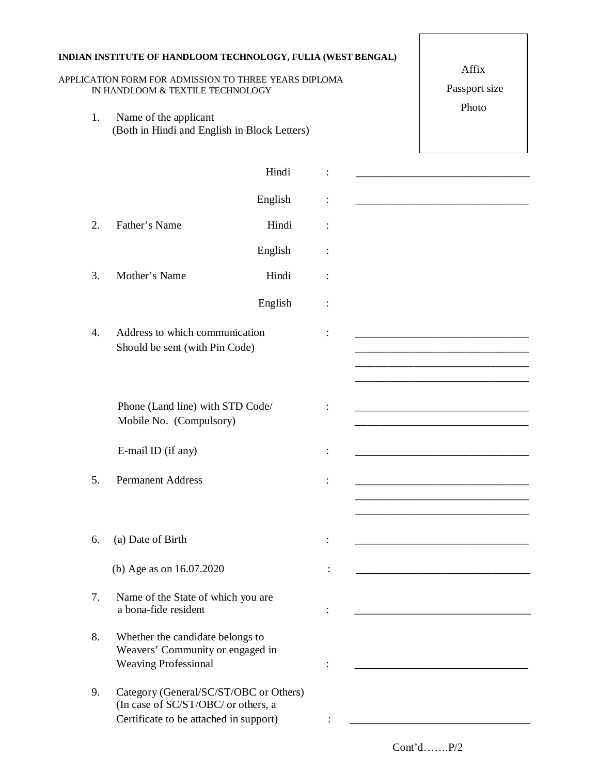|                  | INDIAN INSTITUTE OF HANDLOOM TECHNOLOGY, FULIA (WEST BENGAL)<br>APPLICATION FORM FOR ADMISSION TO THREE YEARS DIPLOMA<br>IN HANDLOOM & TEXTILE TECHNOLOGY | Affix<br>Passport size<br>Photo |                                                                                                                               |
|------------------|-----------------------------------------------------------------------------------------------------------------------------------------------------------|---------------------------------|-------------------------------------------------------------------------------------------------------------------------------|
| 1.               | Name of the applicant<br>(Both in Hindi and English in Block Letters)                                                                                     |                                 |                                                                                                                               |
|                  | Hindi                                                                                                                                                     |                                 |                                                                                                                               |
|                  | English                                                                                                                                                   |                                 | <u> 1980 - Johann John Stone, mars et al. 1980 - John Stone, mars et al. 1980 - John Stone, mars et al. 1980 - John Stone</u> |
| 2.               | Father's Name<br>Hindi                                                                                                                                    |                                 |                                                                                                                               |
|                  | English                                                                                                                                                   |                                 |                                                                                                                               |
| 3.               | Mother's Name<br>Hindi                                                                                                                                    |                                 |                                                                                                                               |
|                  | English                                                                                                                                                   |                                 |                                                                                                                               |
| $\overline{4}$ . | Address to which communication<br>Should be sent (with Pin Code)                                                                                          |                                 |                                                                                                                               |
|                  | Phone (Land line) with STD Code/<br>Mobile No. (Compulsory)                                                                                               |                                 | <u> 1990 - Johann John Stone, mars eta bainar eta baina eta baina eta baina eta baina eta baina eta baina eta ba</u>          |
|                  | E-mail ID (if any)                                                                                                                                        |                                 |                                                                                                                               |
| 5.               | <b>Permanent Address</b>                                                                                                                                  |                                 |                                                                                                                               |
| 6.               | (a) Date of Birth                                                                                                                                         |                                 |                                                                                                                               |
|                  | (b) Age as on 16.07.2020                                                                                                                                  |                                 |                                                                                                                               |
| 7.               | Name of the State of which you are<br>a bona-fide resident                                                                                                |                                 |                                                                                                                               |
| 8.               | Whether the candidate belongs to<br>Weavers' Community or engaged in<br><b>Weaving Professional</b>                                                       |                                 |                                                                                                                               |
| 9.               | Category (General/SC/ST/OBC or Others)<br>(In case of SC/ST/OBC/ or others, a<br>Certificate to be attached in support)                                   |                                 |                                                                                                                               |

Cont'd…….P/2